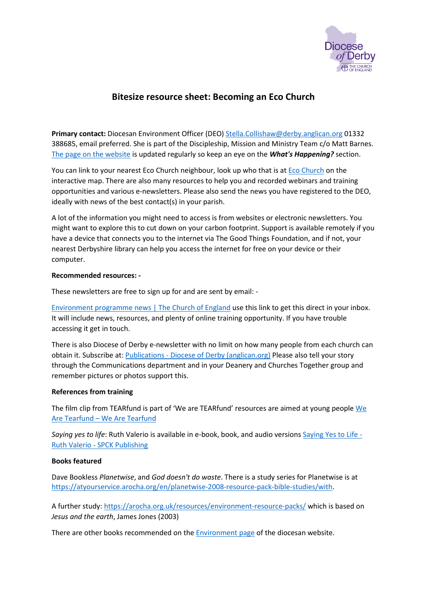

# **Bitesize resource sheet: Becoming an Eco Church**

**Primary contact:** Diocesan Environment Officer (DEO) [Stella.Collishaw@derby.anglican.org](mailto:Stella.Collishaw@derby.anglican.org) 01332 388685, email preferred. She is part of the Discipleship, Mission and Ministry Team c/o Matt Barnes. [The page on the website](https://derby.anglican.org/en/our-mission/environment.html) is updated regularly so keep an eye on the *What's Happening?* section.

You can link to your nearest Eco Church neighbour, look up who that is at [Eco Church](https://app.ecochurch.org/map) on the interactive map. There are also many resources to help you and recorded webinars and training opportunities and various e-newsletters. Please also send the news you have registered to the DEO, ideally with news of the best contact(s) in your parish.

A lot of the information you might need to access is from websites or electronic newsletters. You might want to explore this to cut down on your carbon footprint. Support is available remotely if you have a device that connects you to the internet via The Good Things Foundation, and if not, your nearest Derbyshire library can help you access the internet for free on your device or their computer.

# **Recommended resources: -**

These newsletters are free to sign up for and are sent by email: -

[Environment programme news | The Church of England](https://www.churchofengland.org/about/environment-and-climate-change/environment-programme-news) use this link to get this direct in your inbox. It will include news, resources, and plenty of online training opportunity. If you have trouble accessing it get in touch.

There is also Diocese of Derby e-newsletter with no limit on how many people from each church can obtain it. Subscribe at: Publications - [Diocese of Derby \(anglican.org\)](https://derby.anglican.org/en/publications.html) Please also tell your story through the Communications department and in your Deanery and Churches Together group and remember pictures or photos support this.

# **References from training**

The film clip from TEARfund is part of 'We are TEARfund' resources are aimed at young people We Are Tearfund – [We Are Tearfund](https://wearetearfund.org/)

*Saying yes to life*: Ruth Valerio is available in e-book, book, and audio versions [Saying Yes to Life -](https://spckpublishing.co.uk/saying-yes-to-life) Ruth Valerio - [SPCK Publishing](https://spckpublishing.co.uk/saying-yes-to-life)

# **Books featured**

Dave Bookless *Planetwise*, and *God doesn't do waste*. There is a study series for Planetwise is at [https://atyourservice.arocha.org/en/planetwise-2008-resource-pack-bible-studies/with.](https://atyourservice.arocha.org/en/planetwise-2008-resource-pack-bible-studies/with)

A further study:<https://arocha.org.uk/resources/environment-resource-packs/> which is based on *Jesus and the earth*, James Jones (2003)

There are other books recommended on the [Environment page](https://derby.anglican.org/en/our-mission/environment.html) of the diocesan website.